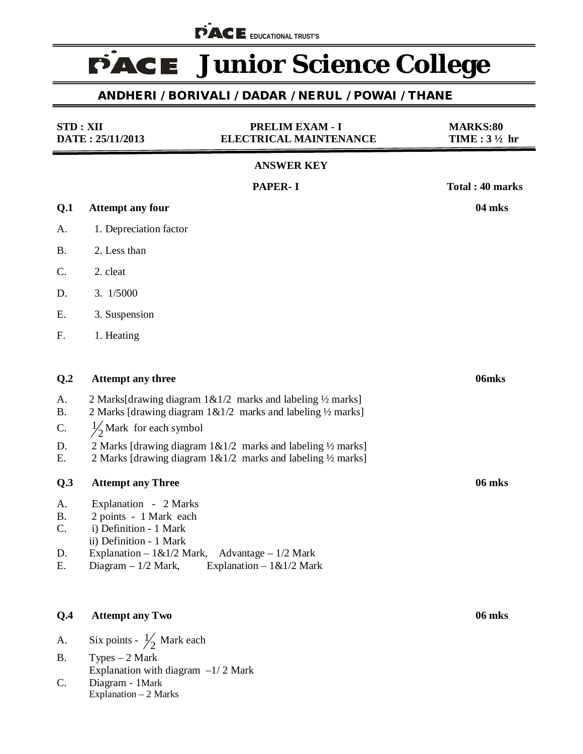**FACE** EDUCATIONAL TRUST'S

# **FACE** Junior Science College

# **ANDHERI / BORIVALI / DADAR / NERUL / POWAI / THANE**

| <b>STD: XII</b><br>DATE: 25/11/2013 |                                                         | <b>PRELIM EXAM - I</b><br><b>ELECTRICAL MAINTENANCE</b>                     | <b>MARKS:80</b><br>TIME: $3\frac{1}{2}$ hr |
|-------------------------------------|---------------------------------------------------------|-----------------------------------------------------------------------------|--------------------------------------------|
|                                     |                                                         | <b>ANSWER KEY</b>                                                           |                                            |
|                                     |                                                         | <b>PAPER-I</b>                                                              | Total: 40 marks                            |
| Q.1                                 | <b>Attempt any four</b>                                 |                                                                             | 04 mks                                     |
| А.                                  | 1. Depreciation factor                                  |                                                                             |                                            |
| <b>B.</b>                           | 2. Less than                                            |                                                                             |                                            |
| C.                                  | 2. cleat                                                |                                                                             |                                            |
| D.                                  | 3. 1/5000                                               |                                                                             |                                            |
| Ε.                                  | 3. Suspension                                           |                                                                             |                                            |
| F.                                  | 1. Heating                                              |                                                                             |                                            |
|                                     |                                                         |                                                                             |                                            |
| Q.2                                 | <b>Attempt any three</b>                                |                                                                             | 06mks                                      |
| A.                                  |                                                         | 2 Marks[drawing diagram $1&0.1/2$ marks and labeling $\frac{1}{2}$ marks]   |                                            |
| <b>B.</b><br>C.                     | $\frac{1}{2}$ Mark for each symbol                      | 2 Marks [drawing diagram $1 \& 1/2$ marks and labeling $\frac{1}{2}$ marks] |                                            |
| D.                                  |                                                         | 2 Marks [drawing diagram $1&1/2$ marks and labeling $\frac{1}{2}$ marks]    |                                            |
| Ε.                                  |                                                         | 2 Marks [drawing diagram 1&1/2 marks and labeling 1/2 marks]                |                                            |
| Q.3                                 | <b>Attempt any Three</b>                                |                                                                             | 06 mks                                     |
| A.                                  | Explanation - 2 Marks                                   |                                                                             |                                            |
| <b>B.</b><br>C.                     | 2 points - 1 Mark each<br>i) Definition - 1 Mark        |                                                                             |                                            |
| D.                                  | ii) Definition - 1 Mark<br>Explanation $-1 & 1/2$ Mark, | Advantage $-1/2$ Mark                                                       |                                            |
| Е.                                  | Diagram $-1/2$ Mark,                                    | Explanation $-1 & 1/2$ Mark                                                 |                                            |
|                                     |                                                         |                                                                             |                                            |
|                                     |                                                         |                                                                             |                                            |

# **Q.4 Attempt any Two 06 mks**

- A. Six points  $\frac{1}{2}$  Mark each
- B. Types 2 Mark
- Explanation with diagram  $-1/2$  Mark
- C. Diagram 1Mark Explanation – 2 Marks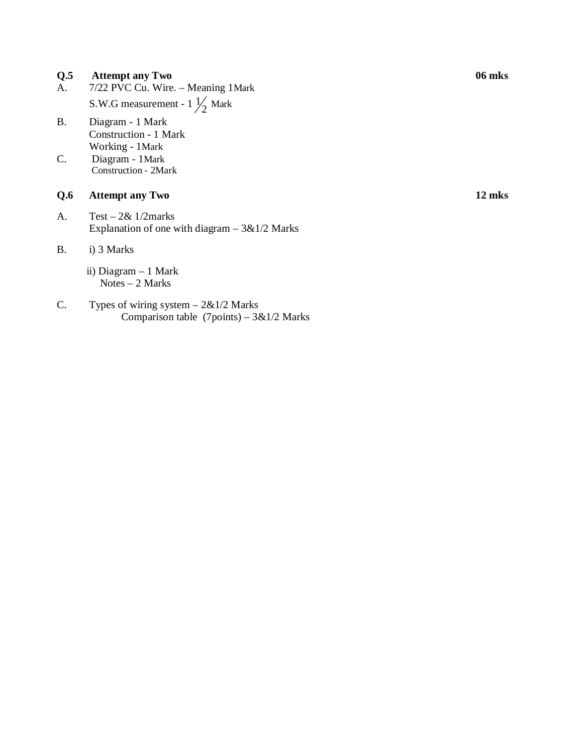#### **Q.5 Attempt any Two 06 mks**

- A. 7/22 PVC Cu. Wire. Meaning 1Mark S.W.G measurement -  $1\frac{1}{2}$  Mark
- B. Diagram 1 Mark Construction - 1 Mark Working - 1Mark
- C. Diagram 1Mark Construction - 2Mark

#### **Q.6 Attempt any Two 12 mks**

A. Test – 2& 1/2marks Explanation of one with diagram  $-3&1/2$  Marks

#### B. i) 3 Marks

- ii) Diagram 1 Mark Notes – 2 Marks
- C. Types of wiring system  $-2\&1/2$  Marks Comparison table  $(7 \text{points}) - 3 \& 1/2$  Marks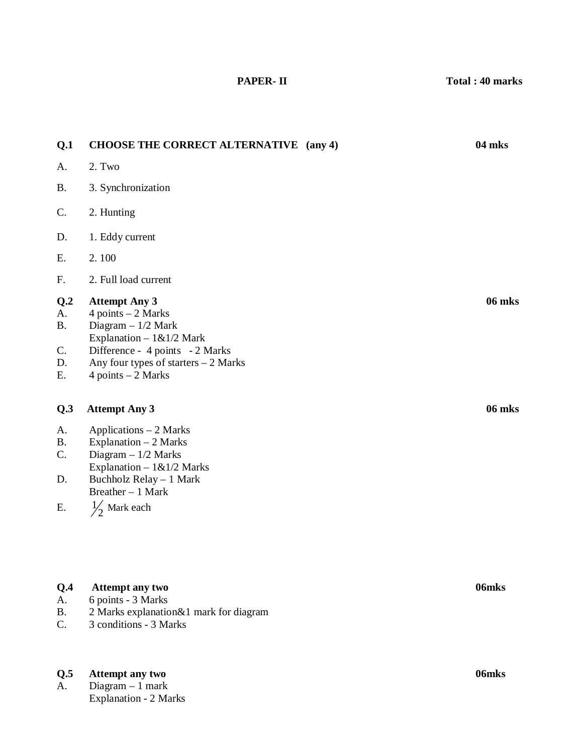**Q.1 CHOOSE THE CORRECT ALTERNATIVE (any 4) 04 mks**  A. 2. Two B. 3. Synchronization C. 2. Hunting D. 1. Eddy current E. 2. 100 F. 2. Full load current **Q.2 Attempt Any 3 06 mks**  A.  $4$  points  $-2$  Marks B. Diagram – 1/2 Mark Explanation –  $1\&1/2$  Mark C. Difference - 4 points - 2 Marks D. Any four types of starters – 2 Marks E.  $4 points - 2 Marks$ **Q.3 Attempt Any 3 06 mks**  A. Applications – 2 Marks B. Explanation – 2 Marks C. Diagram – 1/2 Marks Explanation –  $1\&1/2$  Marks D. Buchholz Relay – 1 Mark Breather – 1 Mark E.  $\frac{1}{2}$  Mark each

### **Q.4 Attempt any two 06mks**

- A. 6 points 3 Marks
- B. 2 Marks explanation&1 mark for diagram
- C. 3 conditions 3 Marks

#### **Q.5 Attempt any two 06mks**

A. Diagram – 1 mark Explanation - 2 Marks  **PAPER- II Total : 40 marks**